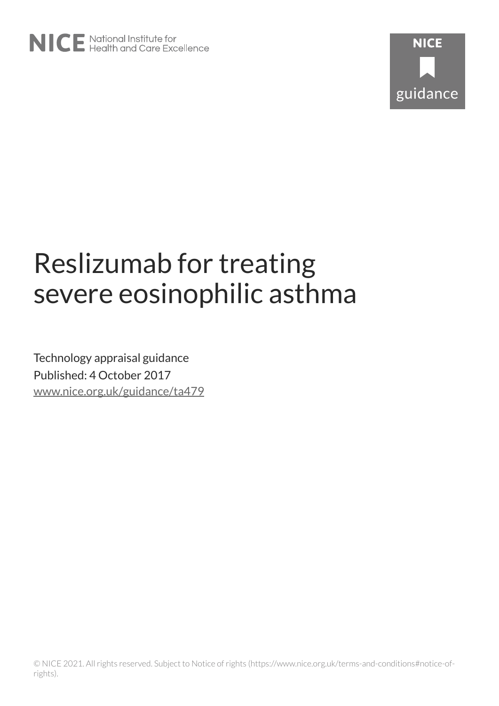

# Reslizumab for treating severe eosinophilic asthma

Technology appraisal guidance Published: 4 October 2017 [www.nice.org.uk/guidance/ta479](https://www.nice.org.uk/guidance/ta479)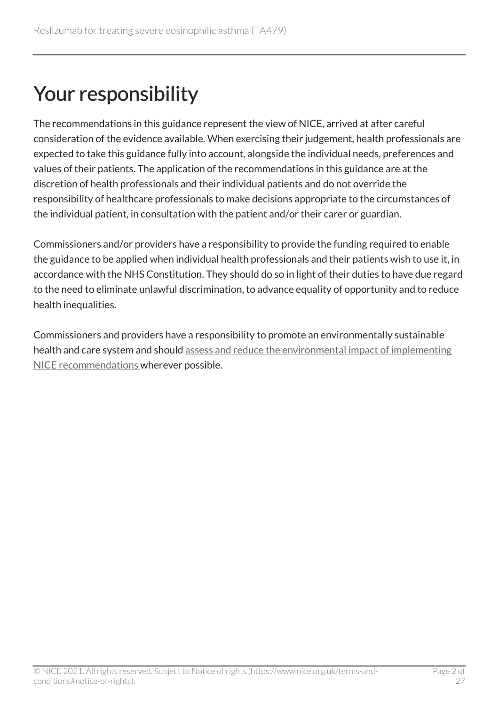## Your responsibility

The recommendations in this guidance represent the view of NICE, arrived at after careful consideration of the evidence available. When exercising their judgement, health professionals are expected to take this guidance fully into account, alongside the individual needs, preferences and values of their patients. The application of the recommendations in this guidance are at the discretion of health professionals and their individual patients and do not override the responsibility of healthcare professionals to make decisions appropriate to the circumstances of the individual patient, in consultation with the patient and/or their carer or guardian.

Commissioners and/or providers have a responsibility to provide the funding required to enable the guidance to be applied when individual health professionals and their patients wish to use it, in accordance with the NHS Constitution. They should do so in light of their duties to have due regard to the need to eliminate unlawful discrimination, to advance equality of opportunity and to reduce health inequalities.

Commissioners and providers have a responsibility to promote an environmentally sustainable health and care system and should [assess and reduce the environmental impact of implementing](https://www.nice.org.uk/about/who-we-are/sustainability)  [NICE recommendations w](https://www.nice.org.uk/about/who-we-are/sustainability)herever possible.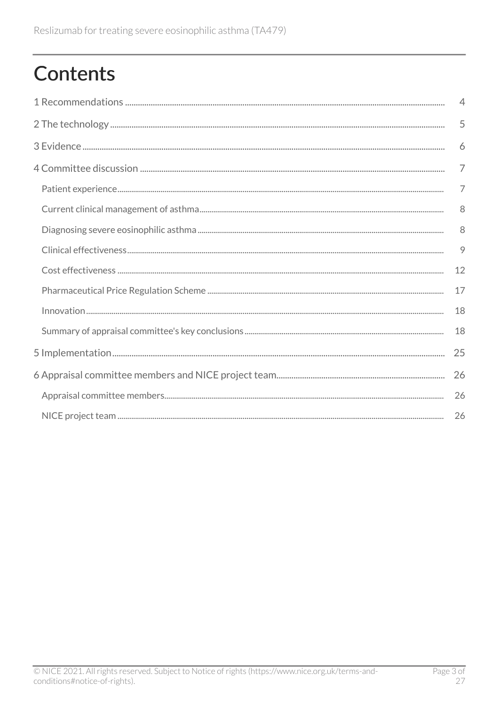## **Contents**

| $\overline{4}$ |
|----------------|
| 5              |
| 6              |
| $\overline{7}$ |
| $\overline{7}$ |
| 8              |
| 8              |
| 9              |
| 12             |
| 17             |
| 18             |
| 18             |
| 25             |
| 26             |
| 26             |
| 26             |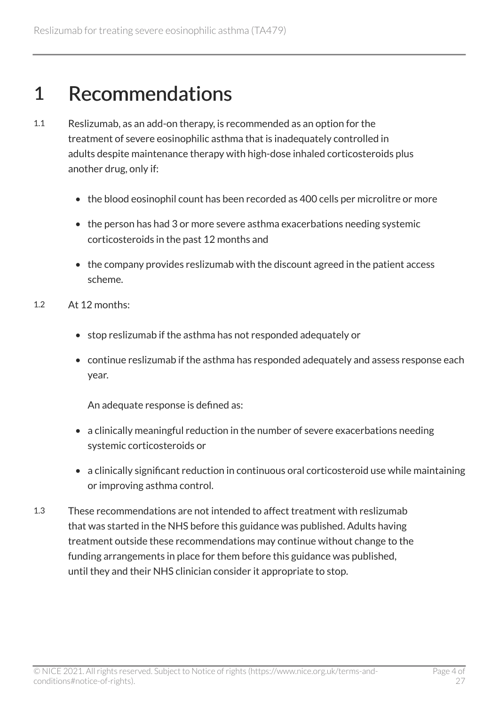## <span id="page-3-0"></span>1 Recommendations

- 1.1 Reslizumab, as an add-on therapy, is recommended as an option for the treatment of severe eosinophilic asthma that is inadequately controlled in adults despite maintenance therapy with high-dose inhaled corticosteroids plus another drug, only if:
	- the blood eosinophil count has been recorded as 400 cells per microlitre or more
	- the person has had 3 or more severe asthma exacerbations needing systemic corticosteroids in the past 12 months and
	- the company provides reslizumab with the discount agreed in the patient access scheme.
- 1.2 At 12 months:
	- stop reslizumab if the asthma has not responded adequately or
	- continue reslizumab if the asthma has responded adequately and assess response each year.

An adequate response is defined as:

- a clinically meaningful reduction in the number of severe exacerbations needing systemic corticosteroids or
- a clinically significant reduction in continuous oral corticosteroid use while maintaining or improving asthma control.
- 1.3 These recommendations are not intended to affect treatment with reslizumab that was started in the NHS before this guidance was published. Adults having treatment outside these recommendations may continue without change to the funding arrangements in place for them before this guidance was published, until they and their NHS clinician consider it appropriate to stop.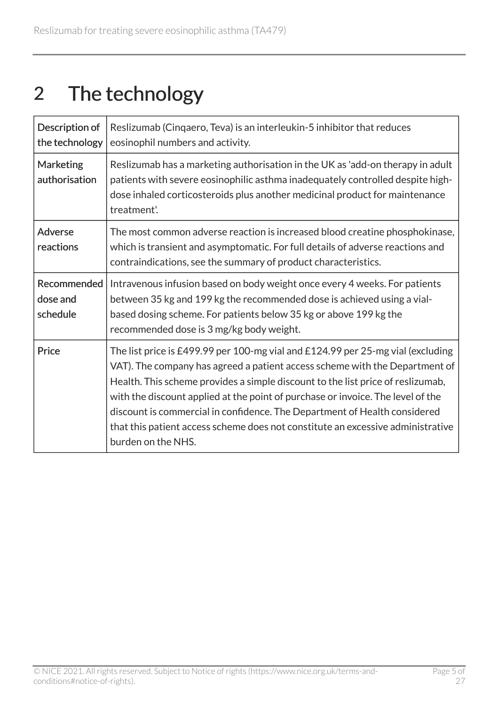## <span id="page-4-0"></span>2 The technology

| Description of<br>the technology    | Reslizumab (Cingaero, Teva) is an interleukin-5 inhibitor that reduces<br>eosinophil numbers and activity.                                                                                                                                                                                                                                                                                                                                                                                                                 |
|-------------------------------------|----------------------------------------------------------------------------------------------------------------------------------------------------------------------------------------------------------------------------------------------------------------------------------------------------------------------------------------------------------------------------------------------------------------------------------------------------------------------------------------------------------------------------|
| <b>Marketing</b><br>authorisation   | Reslizumab has a marketing authorisation in the UK as 'add-on therapy in adult<br>patients with severe eosinophilic asthma inadequately controlled despite high-<br>dose inhaled corticosteroids plus another medicinal product for maintenance<br>treatment'.                                                                                                                                                                                                                                                             |
| <b>Adverse</b><br>reactions         | The most common adverse reaction is increased blood creatine phosphokinase,<br>which is transient and asymptomatic. For full details of adverse reactions and<br>contraindications, see the summary of product characteristics.                                                                                                                                                                                                                                                                                            |
| Recommended<br>dose and<br>schedule | Intravenous infusion based on body weight once every 4 weeks. For patients<br>between 35 kg and 199 kg the recommended dose is achieved using a vial-<br>based dosing scheme. For patients below 35 kg or above 199 kg the<br>recommended dose is 3 mg/kg body weight.                                                                                                                                                                                                                                                     |
| Price                               | The list price is £499.99 per 100-mg vial and £124.99 per 25-mg vial (excluding<br>VAT). The company has agreed a patient access scheme with the Department of<br>Health. This scheme provides a simple discount to the list price of reslizumab,<br>with the discount applied at the point of purchase or invoice. The level of the<br>discount is commercial in confidence. The Department of Health considered<br>that this patient access scheme does not constitute an excessive administrative<br>burden on the NHS. |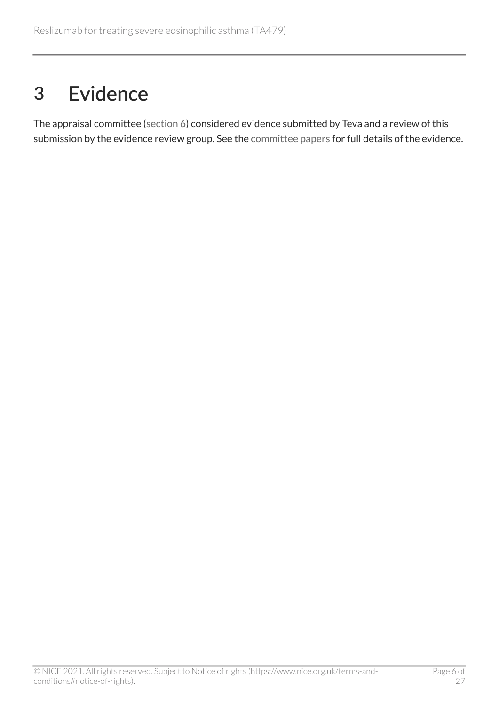## <span id="page-5-0"></span>3 Evidence

The appraisal committee ([section](#page-25-1) 6) considered evidence submitted by Teva and a review of this submission by the evidence review group. See the [committee papers](https://www.nice.org.uk/guidance/TA479/evidence) for full details of the evidence.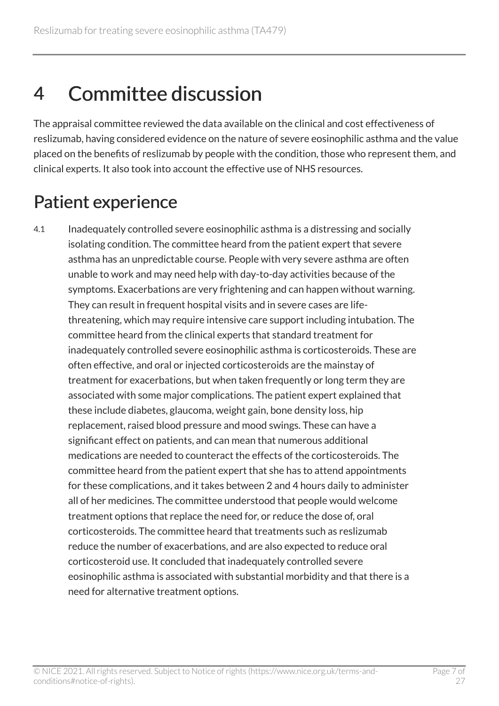## <span id="page-6-0"></span>4 Committee discussion

The appraisal committee reviewed the data available on the clinical and cost effectiveness of reslizumab, having considered evidence on the nature of severe eosinophilic asthma and the value placed on the benefits of reslizumab by people with the condition, those who represent them, and clinical experts. It also took into account the effective use of NHS resources.

## <span id="page-6-1"></span>Patient experience

4.1 Inadequately controlled severe eosinophilic asthma is a distressing and socially isolating condition. The committee heard from the patient expert that severe asthma has an unpredictable course. People with very severe asthma are often unable to work and may need help with day-to-day activities because of the symptoms. Exacerbations are very frightening and can happen without warning. They can result in frequent hospital visits and in severe cases are lifethreatening, which may require intensive care support including intubation. The committee heard from the clinical experts that standard treatment for inadequately controlled severe eosinophilic asthma is corticosteroids. These are often effective, and oral or injected corticosteroids are the mainstay of treatment for exacerbations, but when taken frequently or long term they are associated with some major complications. The patient expert explained that these include diabetes, glaucoma, weight gain, bone density loss, hip replacement, raised blood pressure and mood swings. These can have a significant effect on patients, and can mean that numerous additional medications are needed to counteract the effects of the corticosteroids. The committee heard from the patient expert that she has to attend appointments for these complications, and it takes between 2 and 4 hours daily to administer all of her medicines. The committee understood that people would welcome treatment options that replace the need for, or reduce the dose of, oral corticosteroids. The committee heard that treatments such as reslizumab reduce the number of exacerbations, and are also expected to reduce oral corticosteroid use. It concluded that inadequately controlled severe eosinophilic asthma is associated with substantial morbidity and that there is a need for alternative treatment options.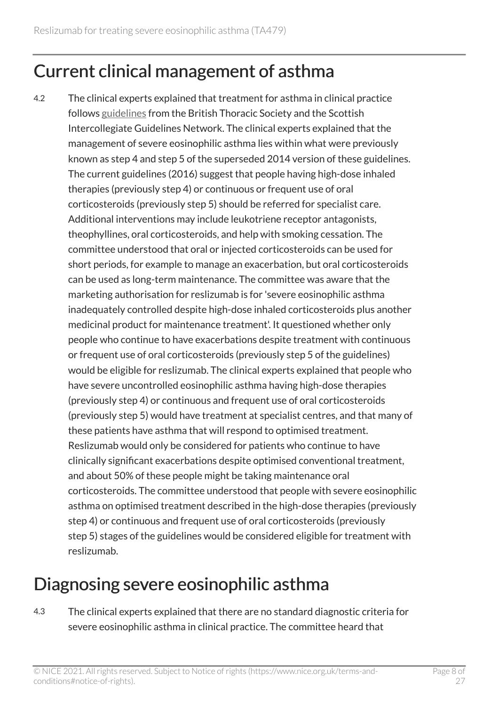### <span id="page-7-0"></span>Current clinical management of asthma

4.2 The clinical experts explained that treatment for asthma in clinical practice follows [guidelines](https://www.brit-thoracic.org.uk/standards-of-care/guidelines/btssign-british-guideline-on-the-management-of-asthma/) from the British Thoracic Society and the Scottish Intercollegiate Guidelines Network. The clinical experts explained that the management of severe eosinophilic asthma lies within what were previously known as step 4 and step 5 of the superseded 2014 version of these guidelines. The current guidelines (2016) suggest that people having high-dose inhaled therapies (previously step 4) or continuous or frequent use of oral corticosteroids (previously step 5) should be referred for specialist care. Additional interventions may include leukotriene receptor antagonists, theophyllines, oral corticosteroids, and help with smoking cessation. The committee understood that oral or injected corticosteroids can be used for short periods, for example to manage an exacerbation, but oral corticosteroids can be used as long-term maintenance. The committee was aware that the marketing authorisation for reslizumab is for 'severe eosinophilic asthma inadequately controlled despite high-dose inhaled corticosteroids plus another medicinal product for maintenance treatment'. It questioned whether only people who continue to have exacerbations despite treatment with continuous or frequent use of oral corticosteroids (previously step 5 of the guidelines) would be eligible for reslizumab. The clinical experts explained that people who have severe uncontrolled eosinophilic asthma having high-dose therapies (previously step 4) or continuous and frequent use of oral corticosteroids (previously step 5) would have treatment at specialist centres, and that many of these patients have asthma that will respond to optimised treatment. Reslizumab would only be considered for patients who continue to have clinically significant exacerbations despite optimised conventional treatment, and about 50% of these people might be taking maintenance oral corticosteroids. The committee understood that people with severe eosinophilic asthma on optimised treatment described in the high-dose therapies (previously step 4) or continuous and frequent use of oral corticosteroids (previously step 5) stages of the guidelines would be considered eligible for treatment with reslizumab.

## <span id="page-7-1"></span>Diagnosing severe eosinophilic asthma

4.3 The clinical experts explained that there are no standard diagnostic criteria for severe eosinophilic asthma in clinical practice. The committee heard that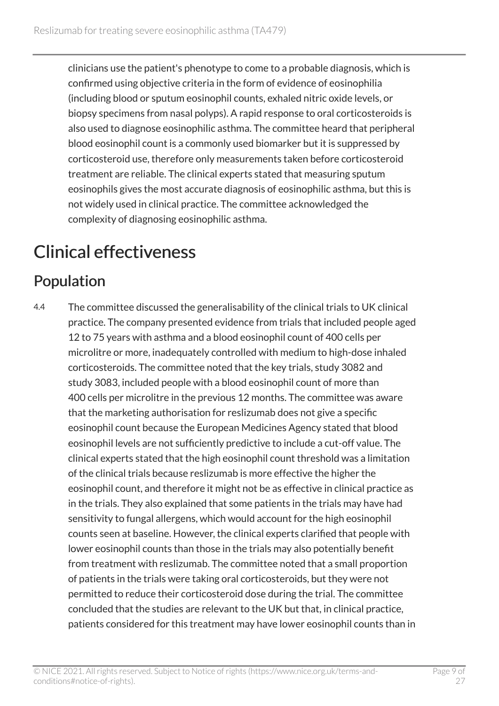clinicians use the patient's phenotype to come to a probable diagnosis, which is confirmed using objective criteria in the form of evidence of eosinophilia (including blood or sputum eosinophil counts, exhaled nitric oxide levels, or biopsy specimens from nasal polyps). A rapid response to oral corticosteroids is also used to diagnose eosinophilic asthma. The committee heard that peripheral blood eosinophil count is a commonly used biomarker but it is suppressed by corticosteroid use, therefore only measurements taken before corticosteroid treatment are reliable. The clinical experts stated that measuring sputum eosinophils gives the most accurate diagnosis of eosinophilic asthma, but this is not widely used in clinical practice. The committee acknowledged the complexity of diagnosing eosinophilic asthma.

## <span id="page-8-0"></span>Clinical effectiveness

#### <span id="page-8-1"></span>Population

4.4 The committee discussed the generalisability of the clinical trials to UK clinical practice. The company presented evidence from trials that included people aged 12 to 75 years with asthma and a blood eosinophil count of 400 cells per microlitre or more, inadequately controlled with medium to high-dose inhaled corticosteroids. The committee noted that the key trials, study 3082 and study 3083, included people with a blood eosinophil count of more than 400 cells per microlitre in the previous 12 months. The committee was aware that the marketing authorisation for reslizumab does not give a specific eosinophil count because the European Medicines Agency stated that blood eosinophil levels are not sufficiently predictive to include a cut-off value. The clinical experts stated that the high eosinophil count threshold was a limitation of the clinical trials because reslizumab is more effective the higher the eosinophil count, and therefore it might not be as effective in clinical practice as in the trials. They also explained that some patients in the trials may have had sensitivity to fungal allergens, which would account for the high eosinophil counts seen at baseline. However, the clinical experts clarified that people with lower eosinophil counts than those in the trials may also potentially benefit from treatment with reslizumab. The committee noted that a small proportion of patients in the trials were taking oral corticosteroids, but they were not permitted to reduce their corticosteroid dose during the trial. The committee concluded that the studies are relevant to the UK but that, in clinical practice, patients considered for this treatment may have lower eosinophil counts than in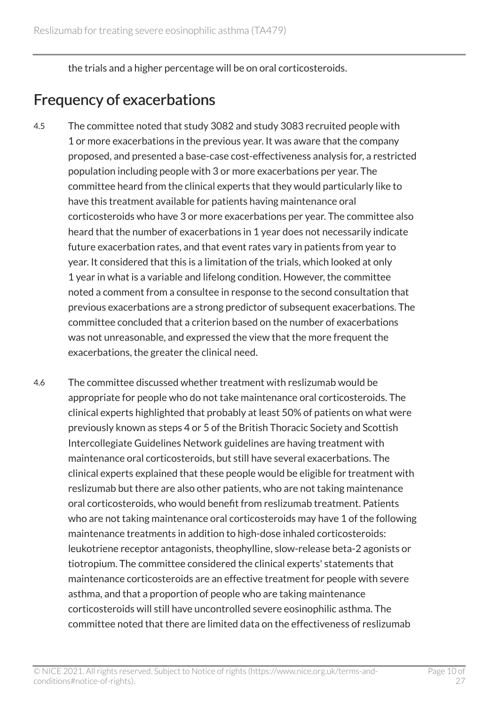the trials and a higher percentage will be on oral corticosteroids.

#### Frequency of exacerbations

- 4.5 The committee noted that study 3082 and study 3083 recruited people with 1 or more exacerbations in the previous year. It was aware that the company proposed, and presented a base-case cost-effectiveness analysis for, a restricted population including people with 3 or more exacerbations per year. The committee heard from the clinical experts that they would particularly like to have this treatment available for patients having maintenance oral corticosteroids who have 3 or more exacerbations per year. The committee also heard that the number of exacerbations in 1 year does not necessarily indicate future exacerbation rates, and that event rates vary in patients from year to year. It considered that this is a limitation of the trials, which looked at only 1 year in what is a variable and lifelong condition. However, the committee noted a comment from a consultee in response to the second consultation that previous exacerbations are a strong predictor of subsequent exacerbations. The committee concluded that a criterion based on the number of exacerbations was not unreasonable, and expressed the view that the more frequent the exacerbations, the greater the clinical need.
- 4.6 The committee discussed whether treatment with reslizumab would be appropriate for people who do not take maintenance oral corticosteroids. The clinical experts highlighted that probably at least 50% of patients on what were previously known as steps 4 or 5 of the British Thoracic Society and Scottish Intercollegiate Guidelines Network guidelines are having treatment with maintenance oral corticosteroids, but still have several exacerbations. The clinical experts explained that these people would be eligible for treatment with reslizumab but there are also other patients, who are not taking maintenance oral corticosteroids, who would benefit from reslizumab treatment. Patients who are not taking maintenance oral corticosteroids may have 1 of the following maintenance treatments in addition to high-dose inhaled corticosteroids: leukotriene receptor antagonists, theophylline, slow-release beta-2 agonists or tiotropium. The committee considered the clinical experts' statements that maintenance corticosteroids are an effective treatment for people with severe asthma, and that a proportion of people who are taking maintenance corticosteroids will still have uncontrolled severe eosinophilic asthma. The committee noted that there are limited data on the effectiveness of reslizumab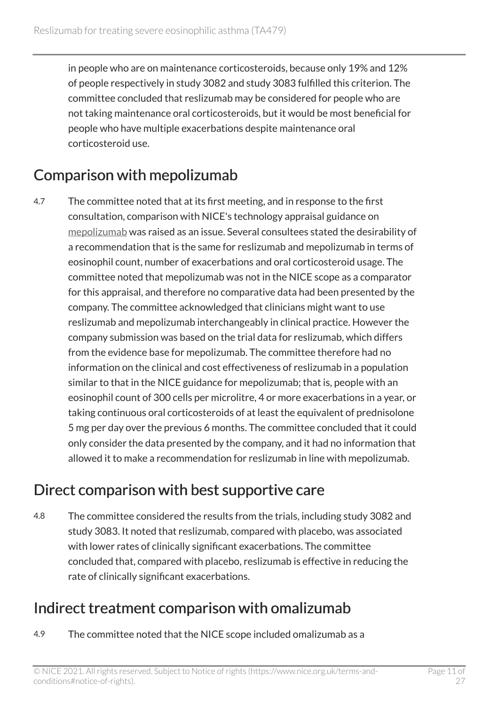in people who are on maintenance corticosteroids, because only 19% and 12% of people respectively in study 3082 and study 3083 fulfilled this criterion. The committee concluded that reslizumab may be considered for people who are not taking maintenance oral corticosteroids, but it would be most beneficial for people who have multiple exacerbations despite maintenance oral corticosteroid use.

#### Comparison with mepolizumab

4.7 The committee noted that at its first meeting, and in response to the first consultation, comparison with NICE's technology appraisal guidance on [mepolizumab](http://www.nice.org.uk/guidance/ta431) was raised as an issue. Several consultees stated the desirability of a recommendation that is the same for reslizumab and mepolizumab in terms of eosinophil count, number of exacerbations and oral corticosteroid usage. The committee noted that mepolizumab was not in the NICE scope as a comparator for this appraisal, and therefore no comparative data had been presented by the company. The committee acknowledged that clinicians might want to use reslizumab and mepolizumab interchangeably in clinical practice. However the company submission was based on the trial data for reslizumab, which differs from the evidence base for mepolizumab. The committee therefore had no information on the clinical and cost effectiveness of reslizumab in a population similar to that in the NICE guidance for mepolizumab; that is, people with an eosinophil count of 300 cells per microlitre, 4 or more exacerbations in a year, or taking continuous oral corticosteroids of at least the equivalent of prednisolone 5 mg per day over the previous 6 months. The committee concluded that it could only consider the data presented by the company, and it had no information that allowed it to make a recommendation for reslizumab in line with mepolizumab.

#### Direct comparison with best supportive care

4.8 The committee considered the results from the trials, including study 3082 and study 3083. It noted that reslizumab, compared with placebo, was associated with lower rates of clinically significant exacerbations. The committee concluded that, compared with placebo, reslizumab is effective in reducing the rate of clinically significant exacerbations.

#### <span id="page-10-0"></span>Indirect treatment comparison with omalizumab

4.9 The committee noted that the NICE scope included omalizumab as a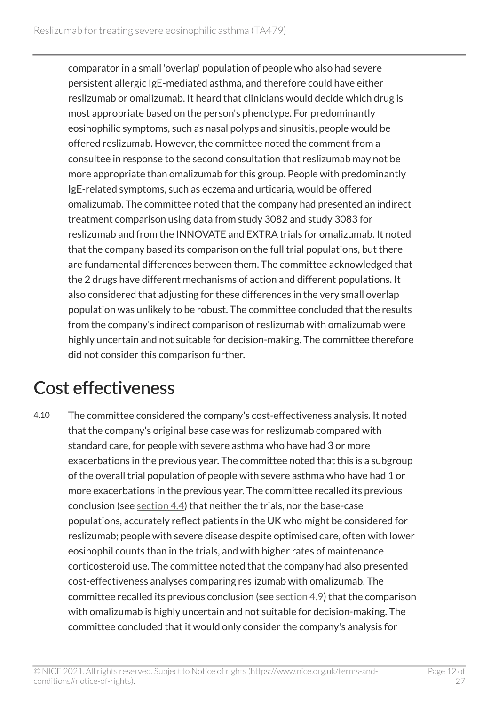comparator in a small 'overlap' population of people who also had severe persistent allergic IgE-mediated asthma, and therefore could have either reslizumab or omalizumab. It heard that clinicians would decide which drug is most appropriate based on the person's phenotype. For predominantly eosinophilic symptoms, such as nasal polyps and sinusitis, people would be offered reslizumab. However, the committee noted the comment from a consultee in response to the second consultation that reslizumab may not be more appropriate than omalizumab for this group. People with predominantly IgE-related symptoms, such as eczema and urticaria, would be offered omalizumab. The committee noted that the company had presented an indirect treatment comparison using data from study 3082 and study 3083 for reslizumab and from the INNOVATE and EXTRA trials for omalizumab. It noted that the company based its comparison on the full trial populations, but there are fundamental differences between them. The committee acknowledged that the 2 drugs have different mechanisms of action and different populations. It also considered that adjusting for these differences in the very small overlap population was unlikely to be robust. The committee concluded that the results from the company's indirect comparison of reslizumab with omalizumab were highly uncertain and not suitable for decision-making. The committee therefore did not consider this comparison further.

## <span id="page-11-0"></span>Cost effectiveness

4.10 The committee considered the company's cost-effectiveness analysis. It noted that the company's original base case was for reslizumab compared with standard care, for people with severe asthma who have had 3 or more exacerbations in the previous year. The committee noted that this is a subgroup of the overall trial population of people with severe asthma who have had 1 or more exacerbations in the previous year. The committee recalled its previous conclusion (see [section](#page-8-1) 4.4) that neither the trials, nor the base-case populations, accurately reflect patients in the UK who might be considered for reslizumab; people with severe disease despite optimised care, often with lower eosinophil counts than in the trials, and with higher rates of maintenance corticosteroid use. The committee noted that the company had also presented cost-effectiveness analyses comparing reslizumab with omalizumab. The committee recalled its previous conclusion (see  $section 4.9$ ) that the comparison with omalizumab is highly uncertain and not suitable for decision-making. The committee concluded that it would only consider the company's analysis for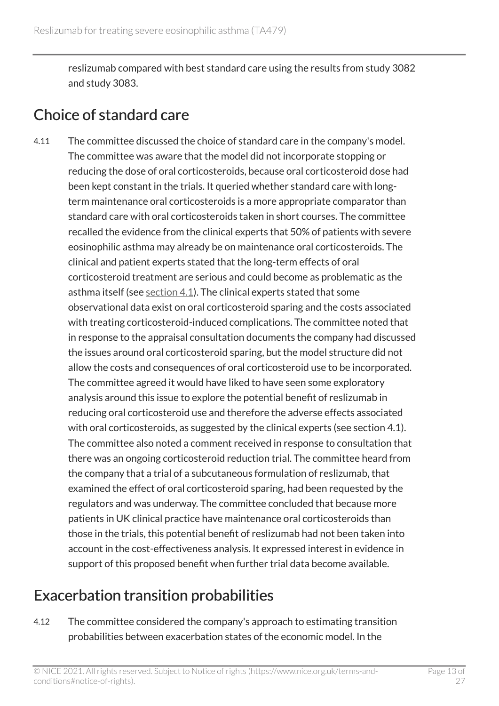reslizumab compared with best standard care using the results from study 3082 and study 3083.

#### Choice of standard care

4.11 The committee discussed the choice of standard care in the company's model. The committee was aware that the model did not incorporate stopping or reducing the dose of oral corticosteroids, because oral corticosteroid dose had been kept constant in the trials. It queried whether standard care with longterm maintenance oral corticosteroids is a more appropriate comparator than standard care with oral corticosteroids taken in short courses. The committee recalled the evidence from the clinical experts that 50% of patients with severe eosinophilic asthma may already be on maintenance oral corticosteroids. The clinical and patient experts stated that the long-term effects of oral corticosteroid treatment are serious and could become as problematic as the asthma itself (see [section](#page-6-1) 4.1). The clinical experts stated that some observational data exist on oral corticosteroid sparing and the costs associated with treating corticosteroid-induced complications. The committee noted that in response to the appraisal consultation documents the company had discussed the issues around oral corticosteroid sparing, but the model structure did not allow the costs and consequences of oral corticosteroid use to be incorporated. The committee agreed it would have liked to have seen some exploratory analysis around this issue to explore the potential benefit of reslizumab in reducing oral corticosteroid use and therefore the adverse effects associated with oral corticosteroids, as suggested by the clinical experts (see section 4.1). The committee also noted a comment received in response to consultation that there was an ongoing corticosteroid reduction trial. The committee heard from the company that a trial of a subcutaneous formulation of reslizumab, that examined the effect of oral corticosteroid sparing, had been requested by the regulators and was underway. The committee concluded that because more patients in UK clinical practice have maintenance oral corticosteroids than those in the trials, this potential benefit of reslizumab had not been taken into account in the cost-effectiveness analysis. It expressed interest in evidence in support of this proposed benefit when further trial data become available.

#### Exacerbation transition probabilities

4.12 The committee considered the company's approach to estimating transition probabilities between exacerbation states of the economic model. In the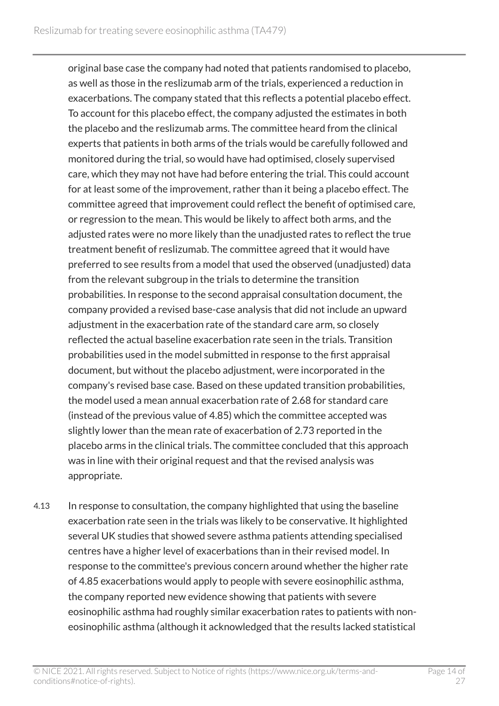original base case the company had noted that patients randomised to placebo, as well as those in the reslizumab arm of the trials, experienced a reduction in exacerbations. The company stated that this reflects a potential placebo effect. To account for this placebo effect, the company adjusted the estimates in both the placebo and the reslizumab arms. The committee heard from the clinical experts that patients in both arms of the trials would be carefully followed and monitored during the trial, so would have had optimised, closely supervised care, which they may not have had before entering the trial. This could account for at least some of the improvement, rather than it being a placebo effect. The committee agreed that improvement could reflect the benefit of optimised care, or regression to the mean. This would be likely to affect both arms, and the adjusted rates were no more likely than the unadjusted rates to reflect the true treatment benefit of reslizumab. The committee agreed that it would have preferred to see results from a model that used the observed (unadjusted) data from the relevant subgroup in the trials to determine the transition probabilities. In response to the second appraisal consultation document, the company provided a revised base-case analysis that did not include an upward adjustment in the exacerbation rate of the standard care arm, so closely reflected the actual baseline exacerbation rate seen in the trials. Transition probabilities used in the model submitted in response to the first appraisal document, but without the placebo adjustment, were incorporated in the company's revised base case. Based on these updated transition probabilities, the model used a mean annual exacerbation rate of 2.68 for standard care (instead of the previous value of 4.85) which the committee accepted was slightly lower than the mean rate of exacerbation of 2.73 reported in the placebo arms in the clinical trials. The committee concluded that this approach was in line with their original request and that the revised analysis was appropriate.

4.13 In response to consultation, the company highlighted that using the baseline exacerbation rate seen in the trials was likely to be conservative. It highlighted several UK studies that showed severe asthma patients attending specialised centres have a higher level of exacerbations than in their revised model. In response to the committee's previous concern around whether the higher rate of 4.85 exacerbations would apply to people with severe eosinophilic asthma, the company reported new evidence showing that patients with severe eosinophilic asthma had roughly similar exacerbation rates to patients with noneosinophilic asthma (although it acknowledged that the results lacked statistical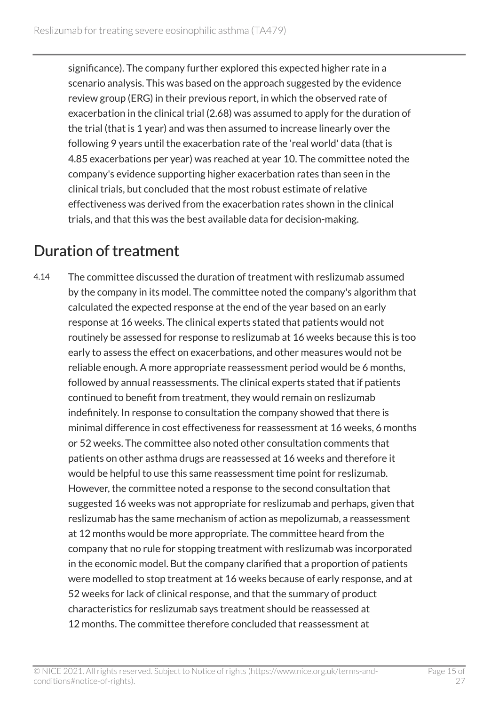significance). The company further explored this expected higher rate in a scenario analysis. This was based on the approach suggested by the evidence review group (ERG) in their previous report, in which the observed rate of exacerbation in the clinical trial (2.68) was assumed to apply for the duration of the trial (that is 1 year) and was then assumed to increase linearly over the following 9 years until the exacerbation rate of the 'real world' data (that is 4.85 exacerbations per year) was reached at year 10. The committee noted the company's evidence supporting higher exacerbation rates than seen in the clinical trials, but concluded that the most robust estimate of relative effectiveness was derived from the exacerbation rates shown in the clinical trials, and that this was the best available data for decision-making.

#### Duration of treatment

4.14 The committee discussed the duration of treatment with reslizumab assumed by the company in its model. The committee noted the company's algorithm that calculated the expected response at the end of the year based on an early response at 16 weeks. The clinical experts stated that patients would not routinely be assessed for response to reslizumab at 16 weeks because this is too early to assess the effect on exacerbations, and other measures would not be reliable enough. A more appropriate reassessment period would be 6 months, followed by annual reassessments. The clinical experts stated that if patients continued to benefit from treatment, they would remain on reslizumab indefinitely. In response to consultation the company showed that there is minimal difference in cost effectiveness for reassessment at 16 weeks, 6 months or 52 weeks. The committee also noted other consultation comments that patients on other asthma drugs are reassessed at 16 weeks and therefore it would be helpful to use this same reassessment time point for reslizumab. However, the committee noted a response to the second consultation that suggested 16 weeks was not appropriate for reslizumab and perhaps, given that reslizumab has the same mechanism of action as mepolizumab, a reassessment at 12 months would be more appropriate. The committee heard from the company that no rule for stopping treatment with reslizumab was incorporated in the economic model. But the company clarified that a proportion of patients were modelled to stop treatment at 16 weeks because of early response, and at 52 weeks for lack of clinical response, and that the summary of product characteristics for reslizumab says treatment should be reassessed at 12 months. The committee therefore concluded that reassessment at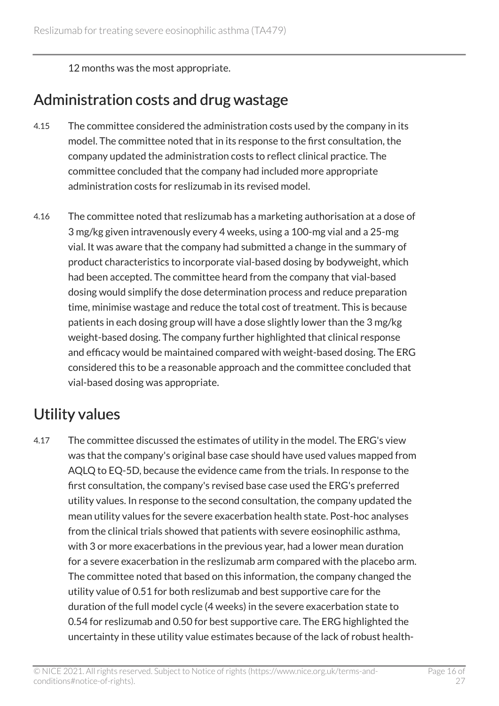12 months was the most appropriate.

#### Administration costs and drug wastage

- 4.15 The committee considered the administration costs used by the company in its model. The committee noted that in its response to the first consultation, the company updated the administration costs to reflect clinical practice. The committee concluded that the company had included more appropriate administration costs for reslizumab in its revised model.
- 4.16 The committee noted that reslizumab has a marketing authorisation at a dose of 3 mg/kg given intravenously every 4 weeks, using a 100-mg vial and a 25-mg vial. It was aware that the company had submitted a change in the summary of product characteristics to incorporate vial-based dosing by bodyweight, which had been accepted. The committee heard from the company that vial-based dosing would simplify the dose determination process and reduce preparation time, minimise wastage and reduce the total cost of treatment. This is because patients in each dosing group will have a dose slightly lower than the 3 mg/kg weight-based dosing. The company further highlighted that clinical response and efficacy would be maintained compared with weight-based dosing. The ERG considered this to be a reasonable approach and the committee concluded that vial-based dosing was appropriate.

#### Utility values

4.17 The committee discussed the estimates of utility in the model. The ERG's view was that the company's original base case should have used values mapped from AQLQ to EQ-5D, because the evidence came from the trials. In response to the first consultation, the company's revised base case used the ERG's preferred utility values. In response to the second consultation, the company updated the mean utility values for the severe exacerbation health state. Post-hoc analyses from the clinical trials showed that patients with severe eosinophilic asthma, with 3 or more exacerbations in the previous year, had a lower mean duration for a severe exacerbation in the reslizumab arm compared with the placebo arm. The committee noted that based on this information, the company changed the utility value of 0.51 for both reslizumab and best supportive care for the duration of the full model cycle (4 weeks) in the severe exacerbation state to 0.54 for reslizumab and 0.50 for best supportive care. The ERG highlighted the uncertainty in these utility value estimates because of the lack of robust health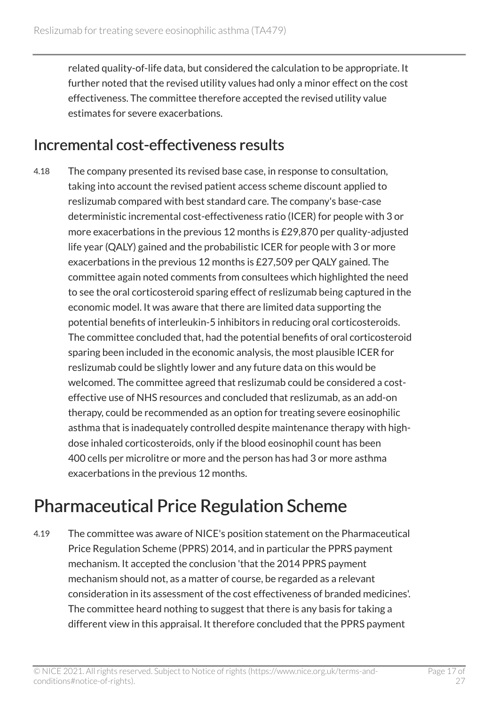related quality-of-life data, but considered the calculation to be appropriate. It further noted that the revised utility values had only a minor effect on the cost effectiveness. The committee therefore accepted the revised utility value estimates for severe exacerbations.

#### Incremental cost-effectiveness results

4.18 The company presented its revised base case, in response to consultation, taking into account the revised patient access scheme discount applied to reslizumab compared with best standard care. The company's base-case deterministic incremental cost-effectiveness ratio (ICER) for people with 3 or more exacerbations in the previous 12 months is £29,870 per quality-adjusted life year (QALY) gained and the probabilistic ICER for people with 3 or more exacerbations in the previous 12 months is £27,509 per QALY gained. The committee again noted comments from consultees which highlighted the need to see the oral corticosteroid sparing effect of reslizumab being captured in the economic model. It was aware that there are limited data supporting the potential benefits of interleukin-5 inhibitors in reducing oral corticosteroids. The committee concluded that, had the potential benefits of oral corticosteroid sparing been included in the economic analysis, the most plausible ICER for reslizumab could be slightly lower and any future data on this would be welcomed. The committee agreed that reslizumab could be considered a costeffective use of NHS resources and concluded that reslizumab, as an add-on therapy, could be recommended as an option for treating severe eosinophilic asthma that is inadequately controlled despite maintenance therapy with highdose inhaled corticosteroids, only if the blood eosinophil count has been 400 cells per microlitre or more and the person has had 3 or more asthma exacerbations in the previous 12 months.

## <span id="page-16-0"></span>Pharmaceutical Price Regulation Scheme

4.19 The committee was aware of NICE's position statement on the Pharmaceutical Price Regulation Scheme (PPRS) 2014, and in particular the PPRS payment mechanism. It accepted the conclusion 'that the 2014 PPRS payment mechanism should not, as a matter of course, be regarded as a relevant consideration in its assessment of the cost effectiveness of branded medicines'. The committee heard nothing to suggest that there is any basis for taking a different view in this appraisal. It therefore concluded that the PPRS payment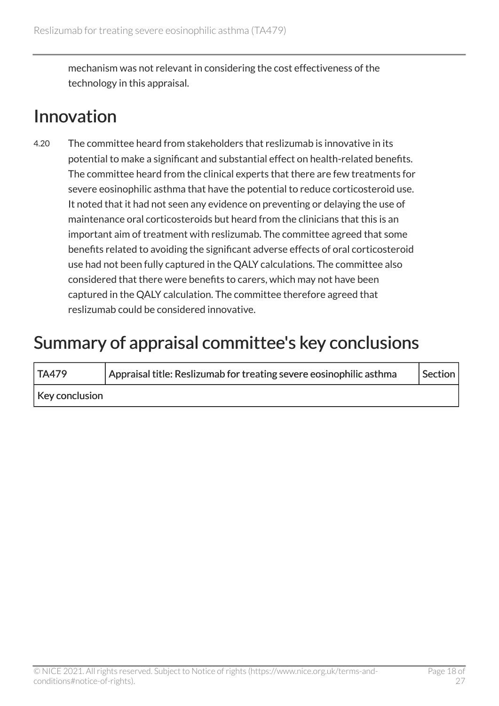mechanism was not relevant in considering the cost effectiveness of the technology in this appraisal.

### <span id="page-17-0"></span>Innovation

4.20 The committee heard from stakeholders that reslizumab is innovative in its potential to make a significant and substantial effect on health-related benefits. The committee heard from the clinical experts that there are few treatments for severe eosinophilic asthma that have the potential to reduce corticosteroid use. It noted that it had not seen any evidence on preventing or delaying the use of maintenance oral corticosteroids but heard from the clinicians that this is an important aim of treatment with reslizumab. The committee agreed that some benefits related to avoiding the significant adverse effects of oral corticosteroid use had not been fully captured in the QALY calculations. The committee also considered that there were benefits to carers, which may not have been captured in the QALY calculation. The committee therefore agreed that reslizumab could be considered innovative.

### <span id="page-17-1"></span>Summary of appraisal committee's key conclusions

| TA479          | Appraisal title: Reslizumab for treating severe eosinophilic asthma | Section |
|----------------|---------------------------------------------------------------------|---------|
| Key conclusion |                                                                     |         |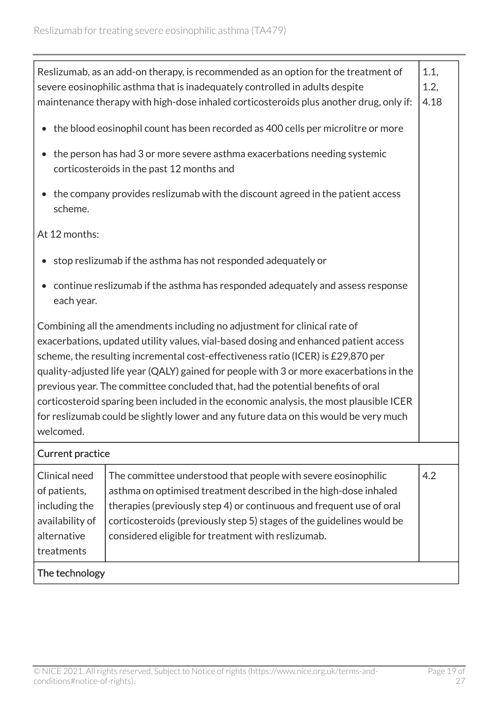| Reslizumab, as an add-on therapy, is recommended as an option for the treatment of<br>1.1,<br>severe eosinophilic asthma that is inadequately controlled in adults despite<br>1.2,<br>4.18<br>maintenance therapy with high-dose inhaled corticosteroids plus another drug, only if:                                                                                                                                                                                                                                                                                                                                                |                                                                                                                                                                                                                                                                                                                                          |     |
|-------------------------------------------------------------------------------------------------------------------------------------------------------------------------------------------------------------------------------------------------------------------------------------------------------------------------------------------------------------------------------------------------------------------------------------------------------------------------------------------------------------------------------------------------------------------------------------------------------------------------------------|------------------------------------------------------------------------------------------------------------------------------------------------------------------------------------------------------------------------------------------------------------------------------------------------------------------------------------------|-----|
| the blood eosinophil count has been recorded as 400 cells per microlitre or more                                                                                                                                                                                                                                                                                                                                                                                                                                                                                                                                                    |                                                                                                                                                                                                                                                                                                                                          |     |
| the person has had 3 or more severe asthma exacerbations needing systemic<br>corticosteroids in the past 12 months and                                                                                                                                                                                                                                                                                                                                                                                                                                                                                                              |                                                                                                                                                                                                                                                                                                                                          |     |
| the company provides reslizumab with the discount agreed in the patient access<br>scheme.                                                                                                                                                                                                                                                                                                                                                                                                                                                                                                                                           |                                                                                                                                                                                                                                                                                                                                          |     |
| At 12 months:                                                                                                                                                                                                                                                                                                                                                                                                                                                                                                                                                                                                                       |                                                                                                                                                                                                                                                                                                                                          |     |
|                                                                                                                                                                                                                                                                                                                                                                                                                                                                                                                                                                                                                                     | stop reslizumab if the asthma has not responded adequately or                                                                                                                                                                                                                                                                            |     |
| continue reslizumab if the asthma has responded adequately and assess response<br>each year.                                                                                                                                                                                                                                                                                                                                                                                                                                                                                                                                        |                                                                                                                                                                                                                                                                                                                                          |     |
| Combining all the amendments including no adjustment for clinical rate of<br>exacerbations, updated utility values, vial-based dosing and enhanced patient access<br>scheme, the resulting incremental cost-effectiveness ratio (ICER) is £29,870 per<br>quality-adjusted life year (QALY) gained for people with 3 or more exacerbations in the<br>previous year. The committee concluded that, had the potential benefits of oral<br>corticosteroid sparing been included in the economic analysis, the most plausible ICER<br>for reslizumab could be slightly lower and any future data on this would be very much<br>welcomed. |                                                                                                                                                                                                                                                                                                                                          |     |
| <b>Current practice</b>                                                                                                                                                                                                                                                                                                                                                                                                                                                                                                                                                                                                             |                                                                                                                                                                                                                                                                                                                                          |     |
| Clinical need<br>of patients,<br>including the<br>availability of<br>alternative<br>treatments                                                                                                                                                                                                                                                                                                                                                                                                                                                                                                                                      | The committee understood that people with severe eosinophilic<br>asthma on optimised treatment described in the high-dose inhaled<br>therapies (previously step 4) or continuous and frequent use of oral<br>corticosteroids (previously step 5) stages of the guidelines would be<br>considered eligible for treatment with reslizumab. | 4.2 |
| The technology                                                                                                                                                                                                                                                                                                                                                                                                                                                                                                                                                                                                                      |                                                                                                                                                                                                                                                                                                                                          |     |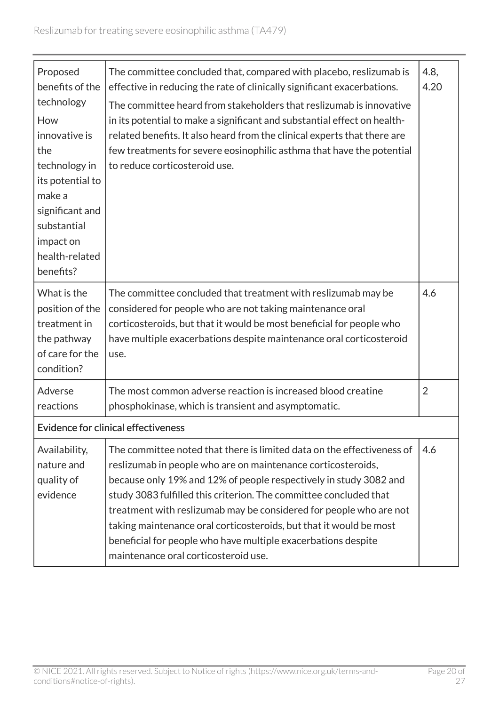| Proposed<br>benefits of the<br>technology<br>How<br>innovative is<br>the<br>technology in<br>its potential to<br>make a<br>significant and<br>substantial<br>impact on<br>health-related<br>benefits? | The committee concluded that, compared with placebo, reslizumab is<br>effective in reducing the rate of clinically significant exacerbations.<br>The committee heard from stakeholders that reslizumab is innovative<br>in its potential to make a significant and substantial effect on health-<br>related benefits. It also heard from the clinical experts that there are<br>few treatments for severe eosinophilic asthma that have the potential<br>to reduce corticosteroid use.                                                | 4.8,<br>4.20   |
|-------------------------------------------------------------------------------------------------------------------------------------------------------------------------------------------------------|---------------------------------------------------------------------------------------------------------------------------------------------------------------------------------------------------------------------------------------------------------------------------------------------------------------------------------------------------------------------------------------------------------------------------------------------------------------------------------------------------------------------------------------|----------------|
| What is the<br>position of the<br>treatment in<br>the pathway<br>of care for the<br>condition?                                                                                                        | The committee concluded that treatment with reslizumab may be<br>considered for people who are not taking maintenance oral<br>corticosteroids, but that it would be most beneficial for people who<br>have multiple exacerbations despite maintenance oral corticosteroid<br>use.                                                                                                                                                                                                                                                     | 4.6            |
| Adverse<br>reactions                                                                                                                                                                                  | The most common adverse reaction is increased blood creatine<br>phosphokinase, which is transient and asymptomatic.                                                                                                                                                                                                                                                                                                                                                                                                                   | $\overline{2}$ |
|                                                                                                                                                                                                       | <b>Evidence for clinical effectiveness</b>                                                                                                                                                                                                                                                                                                                                                                                                                                                                                            |                |
| Availability,<br>nature and<br>quality of<br>evidence                                                                                                                                                 | The committee noted that there is limited data on the effectiveness of<br>reslizumab in people who are on maintenance corticosteroids,<br>because only 19% and 12% of people respectively in study 3082 and<br>study 3083 fulfilled this criterion. The committee concluded that<br>treatment with reslizumab may be considered for people who are not<br>taking maintenance oral corticosteroids, but that it would be most<br>beneficial for people who have multiple exacerbations despite<br>maintenance oral corticosteroid use. | 4.6            |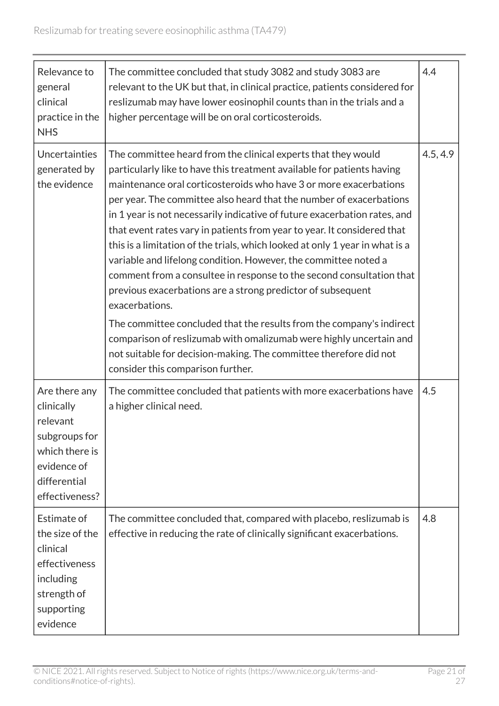| Relevance to<br>general<br>clinical<br>practice in the<br><b>NHS</b>                                                        | The committee concluded that study 3082 and study 3083 are<br>relevant to the UK but that, in clinical practice, patients considered for<br>reslizumab may have lower eosinophil counts than in the trials and a<br>higher percentage will be on oral corticosteroids.                                                                                                                                                                                                                                                                                                                                                                                                                                                                                                                                                                                                                                                                                                                                          | 4.4      |
|-----------------------------------------------------------------------------------------------------------------------------|-----------------------------------------------------------------------------------------------------------------------------------------------------------------------------------------------------------------------------------------------------------------------------------------------------------------------------------------------------------------------------------------------------------------------------------------------------------------------------------------------------------------------------------------------------------------------------------------------------------------------------------------------------------------------------------------------------------------------------------------------------------------------------------------------------------------------------------------------------------------------------------------------------------------------------------------------------------------------------------------------------------------|----------|
| Uncertainties<br>generated by<br>the evidence                                                                               | The committee heard from the clinical experts that they would<br>particularly like to have this treatment available for patients having<br>maintenance oral corticosteroids who have 3 or more exacerbations<br>per year. The committee also heard that the number of exacerbations<br>in 1 year is not necessarily indicative of future exacerbation rates, and<br>that event rates vary in patients from year to year. It considered that<br>this is a limitation of the trials, which looked at only 1 year in what is a<br>variable and lifelong condition. However, the committee noted a<br>comment from a consultee in response to the second consultation that<br>previous exacerbations are a strong predictor of subsequent<br>exacerbations.<br>The committee concluded that the results from the company's indirect<br>comparison of reslizumab with omalizumab were highly uncertain and<br>not suitable for decision-making. The committee therefore did not<br>consider this comparison further. | 4.5, 4.9 |
| Are there any<br>clinically<br>relevant<br>subgroups for<br>which there is<br>evidence of<br>differential<br>effectiveness? | The committee concluded that patients with more exacerbations have<br>a higher clinical need.                                                                                                                                                                                                                                                                                                                                                                                                                                                                                                                                                                                                                                                                                                                                                                                                                                                                                                                   | 4.5      |
| Estimate of<br>the size of the<br>clinical<br>effectiveness<br>including<br>strength of<br>supporting<br>evidence           | The committee concluded that, compared with placebo, reslizumab is<br>effective in reducing the rate of clinically significant exacerbations.                                                                                                                                                                                                                                                                                                                                                                                                                                                                                                                                                                                                                                                                                                                                                                                                                                                                   | 4.8      |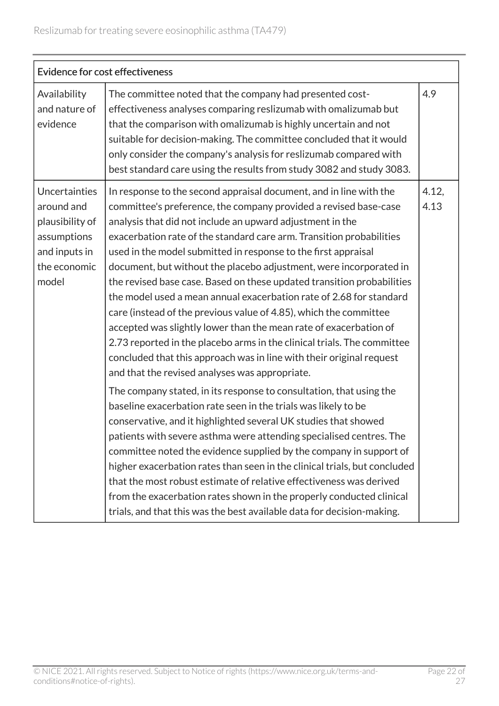| <b>Evidence for cost effectiveness</b>                                                                  |                                                                                                                                                                                                                                                                                                                                                                                                                                                                                                                                                                                                                                                                                                                                                                                                                                                                                                                                                                                                                                                                                                                                                                                                                                                                                                                                                                                                                                                                                                                                                                                    |               |
|---------------------------------------------------------------------------------------------------------|------------------------------------------------------------------------------------------------------------------------------------------------------------------------------------------------------------------------------------------------------------------------------------------------------------------------------------------------------------------------------------------------------------------------------------------------------------------------------------------------------------------------------------------------------------------------------------------------------------------------------------------------------------------------------------------------------------------------------------------------------------------------------------------------------------------------------------------------------------------------------------------------------------------------------------------------------------------------------------------------------------------------------------------------------------------------------------------------------------------------------------------------------------------------------------------------------------------------------------------------------------------------------------------------------------------------------------------------------------------------------------------------------------------------------------------------------------------------------------------------------------------------------------------------------------------------------------|---------------|
| Availability<br>and nature of<br>evidence                                                               | The committee noted that the company had presented cost-<br>effectiveness analyses comparing reslizumab with omalizumab but<br>that the comparison with omalizumab is highly uncertain and not<br>suitable for decision-making. The committee concluded that it would<br>only consider the company's analysis for reslizumab compared with<br>best standard care using the results from study 3082 and study 3083.                                                                                                                                                                                                                                                                                                                                                                                                                                                                                                                                                                                                                                                                                                                                                                                                                                                                                                                                                                                                                                                                                                                                                                 | 4.9           |
| Uncertainties<br>around and<br>plausibility of<br>assumptions<br>and inputs in<br>the economic<br>model | In response to the second appraisal document, and in line with the<br>committee's preference, the company provided a revised base-case<br>analysis that did not include an upward adjustment in the<br>exacerbation rate of the standard care arm. Transition probabilities<br>used in the model submitted in response to the first appraisal<br>document, but without the placebo adjustment, were incorporated in<br>the revised base case. Based on these updated transition probabilities<br>the model used a mean annual exacerbation rate of 2.68 for standard<br>care (instead of the previous value of 4.85), which the committee<br>accepted was slightly lower than the mean rate of exacerbation of<br>2.73 reported in the placebo arms in the clinical trials. The committee<br>concluded that this approach was in line with their original request<br>and that the revised analyses was appropriate.<br>The company stated, in its response to consultation, that using the<br>baseline exacerbation rate seen in the trials was likely to be<br>conservative, and it highlighted several UK studies that showed<br>patients with severe asthma were attending specialised centres. The<br>committee noted the evidence supplied by the company in support of<br>higher exacerbation rates than seen in the clinical trials, but concluded<br>that the most robust estimate of relative effectiveness was derived<br>from the exacerbation rates shown in the properly conducted clinical<br>trials, and that this was the best available data for decision-making. | 4.12,<br>4.13 |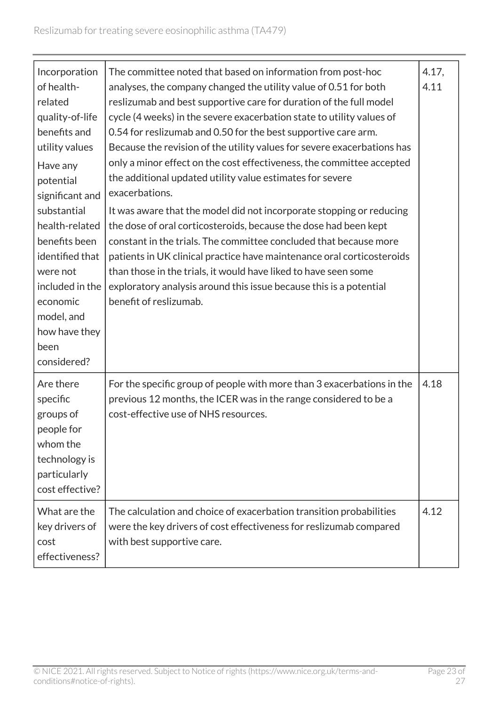| Incorporation<br>of health-<br>related<br>quality-of-life<br>benefits and<br>utility values<br>Have any<br>potential<br>significant and<br>substantial<br>health-related<br>benefits been<br>identified that<br>were not<br>included in the<br>economic<br>model, and<br>how have they<br>been<br>considered? | The committee noted that based on information from post-hoc<br>analyses, the company changed the utility value of 0.51 for both<br>reslizumab and best supportive care for duration of the full model<br>cycle (4 weeks) in the severe exacerbation state to utility values of<br>0.54 for reslizumab and 0.50 for the best supportive care arm.<br>Because the revision of the utility values for severe exacerbations has<br>only a minor effect on the cost effectiveness, the committee accepted<br>the additional updated utility value estimates for severe<br>exacerbations.<br>It was aware that the model did not incorporate stopping or reducing<br>the dose of oral corticosteroids, because the dose had been kept<br>constant in the trials. The committee concluded that because more<br>patients in UK clinical practice have maintenance oral corticosteroids<br>than those in the trials, it would have liked to have seen some<br>exploratory analysis around this issue because this is a potential<br>benefit of reslizumab. | 4.17,<br>4.11 |
|---------------------------------------------------------------------------------------------------------------------------------------------------------------------------------------------------------------------------------------------------------------------------------------------------------------|---------------------------------------------------------------------------------------------------------------------------------------------------------------------------------------------------------------------------------------------------------------------------------------------------------------------------------------------------------------------------------------------------------------------------------------------------------------------------------------------------------------------------------------------------------------------------------------------------------------------------------------------------------------------------------------------------------------------------------------------------------------------------------------------------------------------------------------------------------------------------------------------------------------------------------------------------------------------------------------------------------------------------------------------------|---------------|
| Are there<br>specific<br>groups of<br>people for<br>whom the<br>technology is<br>particularly<br>cost effective?                                                                                                                                                                                              | For the specific group of people with more than 3 exacerbations in the<br>previous 12 months, the ICER was in the range considered to be a<br>cost-effective use of NHS resources.                                                                                                                                                                                                                                                                                                                                                                                                                                                                                                                                                                                                                                                                                                                                                                                                                                                                | 4.18          |
| What are the<br>key drivers of<br>cost<br>effectiveness?                                                                                                                                                                                                                                                      | The calculation and choice of exacerbation transition probabilities<br>were the key drivers of cost effectiveness for reslizumab compared<br>with best supportive care.                                                                                                                                                                                                                                                                                                                                                                                                                                                                                                                                                                                                                                                                                                                                                                                                                                                                           | 4.12          |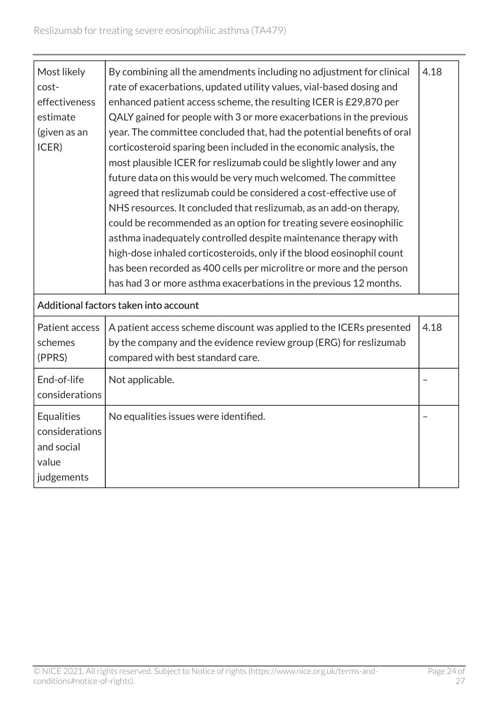| Most likely<br>cost-<br>effectiveness<br>estimate<br>(given as an<br>ICER) | By combining all the amendments including no adjustment for clinical<br>rate of exacerbations, updated utility values, vial-based dosing and<br>enhanced patient access scheme, the resulting ICER is £29,870 per<br>QALY gained for people with 3 or more exacerbations in the previous<br>year. The committee concluded that, had the potential benefits of oral<br>corticosteroid sparing been included in the economic analysis, the<br>most plausible ICER for reslizumab could be slightly lower and any<br>future data on this would be very much welcomed. The committee<br>agreed that reslizumab could be considered a cost-effective use of<br>NHS resources. It concluded that reslizumab, as an add-on therapy,<br>could be recommended as an option for treating severe eosinophilic<br>asthma inadequately controlled despite maintenance therapy with<br>high-dose inhaled corticosteroids, only if the blood eosinophil count<br>has been recorded as 400 cells per microlitre or more and the person<br>has had 3 or more asthma exacerbations in the previous 12 months. | 4.18 |
|----------------------------------------------------------------------------|---------------------------------------------------------------------------------------------------------------------------------------------------------------------------------------------------------------------------------------------------------------------------------------------------------------------------------------------------------------------------------------------------------------------------------------------------------------------------------------------------------------------------------------------------------------------------------------------------------------------------------------------------------------------------------------------------------------------------------------------------------------------------------------------------------------------------------------------------------------------------------------------------------------------------------------------------------------------------------------------------------------------------------------------------------------------------------------------|------|
|                                                                            | Additional factors taken into account                                                                                                                                                                                                                                                                                                                                                                                                                                                                                                                                                                                                                                                                                                                                                                                                                                                                                                                                                                                                                                                       |      |
| Patient access<br>schemes<br>(PPRS)                                        | A patient access scheme discount was applied to the ICERs presented<br>by the company and the evidence review group (ERG) for reslizumab<br>compared with best standard care.                                                                                                                                                                                                                                                                                                                                                                                                                                                                                                                                                                                                                                                                                                                                                                                                                                                                                                               | 4.18 |
| End-of-life<br>considerations                                              | Not applicable.                                                                                                                                                                                                                                                                                                                                                                                                                                                                                                                                                                                                                                                                                                                                                                                                                                                                                                                                                                                                                                                                             |      |
| <b>Equalities</b><br>considerations<br>and social<br>value<br>judgements   | No equalities issues were identified.                                                                                                                                                                                                                                                                                                                                                                                                                                                                                                                                                                                                                                                                                                                                                                                                                                                                                                                                                                                                                                                       |      |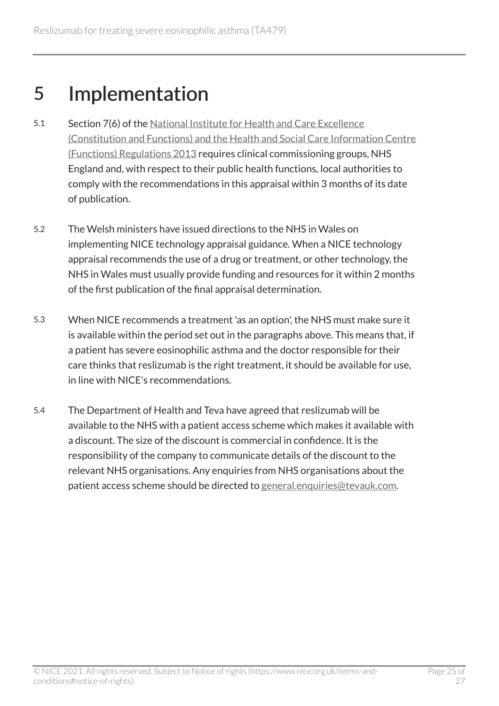## <span id="page-24-0"></span>5 Implementation

- 5.1 Section 7(6) of the [National Institute for Health and Care Excellence](http://www.legislation.gov.uk/uksi/2013/259/contents/made)  [\(Constitution and Functions\) and the Health and Social Care Information Centre](http://www.legislation.gov.uk/uksi/2013/259/contents/made)  [\(Functions\) Regulations 2013](http://www.legislation.gov.uk/uksi/2013/259/contents/made) requires clinical commissioning groups, NHS England and, with respect to their public health functions, local authorities to comply with the recommendations in this appraisal within 3 months of its date of publication.
- 5.2 The Welsh ministers have issued directions to the NHS in Wales on implementing NICE technology appraisal guidance. When a NICE technology appraisal recommends the use of a drug or treatment, or other technology, the NHS in Wales must usually provide funding and resources for it within 2 months of the first publication of the final appraisal determination.
- 5.3 When NICE recommends a treatment 'as an option', the NHS must make sure it is available within the period set out in the paragraphs above. This means that, if a patient has severe eosinophilic asthma and the doctor responsible for their care thinks that reslizumab is the right treatment, it should be available for use, in line with NICE's recommendations.
- 5.4 The Department of Health and Teva have agreed that reslizumab will be available to the NHS with a patient access scheme which makes it available with a discount. The size of the discount is commercial in confidence. It is the responsibility of the company to communicate details of the discount to the relevant NHS organisations. Any enquiries from NHS organisations about the patient access scheme should be directed to [general.enquiries@tevauk.com](mailto:general.enquiries@tevauk.com).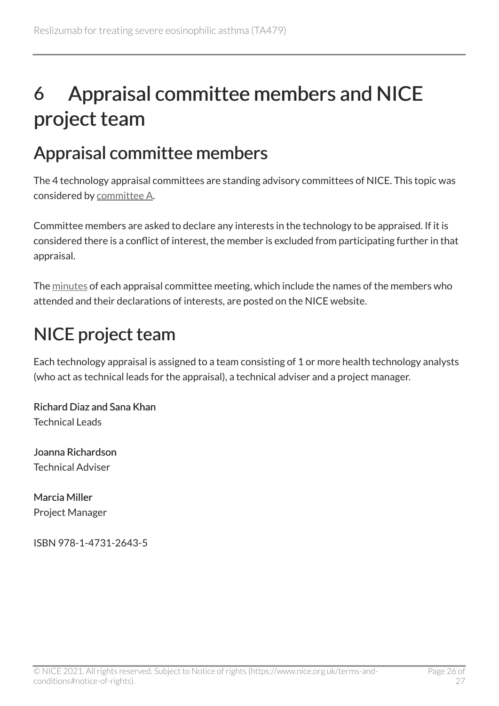## <span id="page-25-0"></span>6 Appraisal committee members and NICE project team

### <span id="page-25-1"></span>Appraisal committee members

The 4 technology appraisal committees are standing advisory committees of NICE. This topic was considered by [committee A](https://www.nice.org.uk/Get-Involved/Meetings-in-public/Technology-appraisal-Committee/Committee-A-Members).

Committee members are asked to declare any interests in the technology to be appraised. If it is considered there is a conflict of interest, the member is excluded from participating further in that appraisal.

The [minutes](https://www.nice.org.uk/get-involved/meetings-in-public/technology-appraisal-committee) of each appraisal committee meeting, which include the names of the members who attended and their declarations of interests, are posted on the NICE website.

## <span id="page-25-2"></span>NICE project team

Each technology appraisal is assigned to a team consisting of 1 or more health technology analysts (who act as technical leads for the appraisal), a technical adviser and a project manager.

Richard Diaz and Sana Khan Technical Leads

Joanna Richardson Technical Adviser

Marcia Miller Project Manager

ISBN 978-1-4731-2643-5